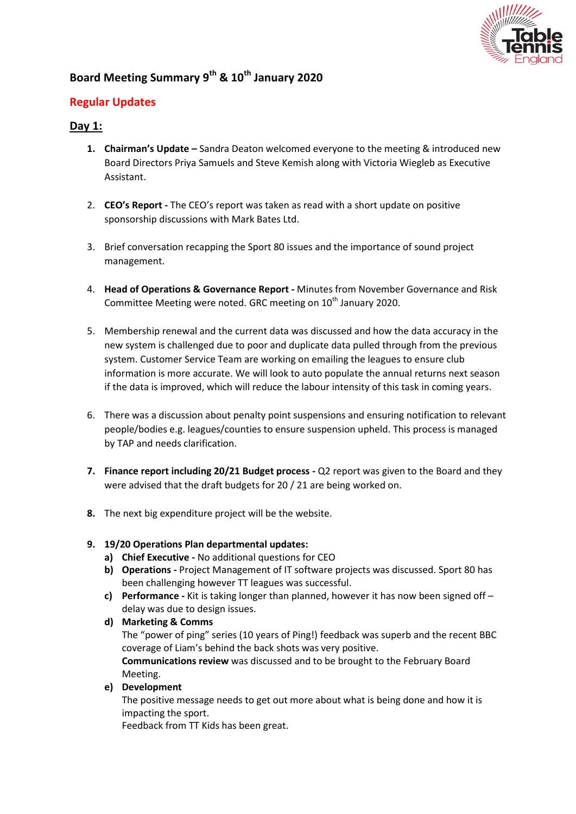

# **Board Meeting Summary 9th & 10th January 2020**

# **Regular Updates**

# **Day 1:**

- **1. Chairman's Update –** Sandra Deaton welcomed everyone to the meeting & introduced new Board Directors Priya Samuels and Steve Kemish along with Victoria Wiegleb as Executive Assistant.
- 2. **CEO's Report -** The CEO's report was taken as read with a short update on positive sponsorship discussions with Mark Bates Ltd.
- 3. Brief conversation recapping the Sport 80 issues and the importance of sound project management.
- 4. **Head of Operations & Governance Report -** Minutes from November Governance and Risk Committee Meeting were noted. GRC meeting on 10<sup>th</sup> January 2020.
- 5. Membership renewal and the current data was discussed and how the data accuracy in the new system is challenged due to poor and duplicate data pulled through from the previous system. Customer Service Team are working on emailing the leagues to ensure club information is more accurate. We will look to auto populate the annual returns next season if the data is improved, which will reduce the labour intensity of this task in coming years.
- 6. There was a discussion about penalty point suspensions and ensuring notification to relevant people/bodies e.g. leagues/counties to ensure suspension upheld. This process is managed by TAP and needs clarification.
- **7. Finance report including 20/21 Budget process -** Q2 report was given to the Board and they were advised that the draft budgets for 20 / 21 are being worked on.
- **8.** The next big expenditure project will be the website.

## **9. 19/20 Operations Plan departmental updates:**

- **a) Chief Executive -** No additional questions for CEO
- **b) Operations -** Project Management of IT software projects was discussed. Sport 80 has been challenging however TT leagues was successful.
- **c) Performance -** Kit is taking longer than planned, however it has now been signed off delay was due to design issues.
- **d) Marketing & Comms** The "power of ping" series (10 years of Ping!) feedback was superb and the recent BBC coverage of Liam's behind the back shots was very positive. **Communications review** was discussed and to be brought to the February Board Meeting.
- **e) Development**

The positive message needs to get out more about what is being done and how it is impacting the sport.

Feedback from TT Kids has been great.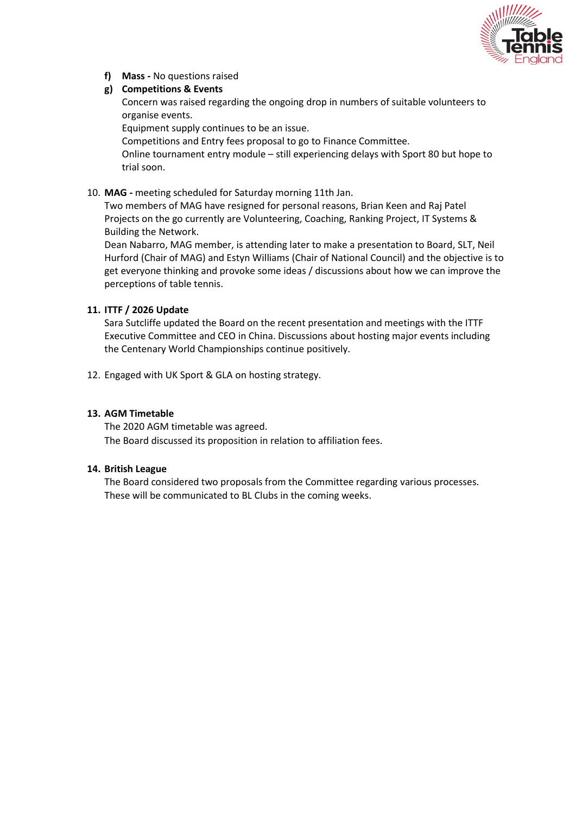

**f) Mass -** No questions raised

### **g) Competitions & Events**

Concern was raised regarding the ongoing drop in numbers of suitable volunteers to organise events.

Equipment supply continues to be an issue.

Competitions and Entry fees proposal to go to Finance Committee.

Online tournament entry module – still experiencing delays with Sport 80 but hope to trial soon.

10. **MAG -** meeting scheduled for Saturday morning 11th Jan.

Two members of MAG have resigned for personal reasons, Brian Keen and Raj Patel Projects on the go currently are Volunteering, Coaching, Ranking Project, IT Systems & Building the Network.

Dean Nabarro, MAG member, is attending later to make a presentation to Board, SLT, Neil Hurford (Chair of MAG) and Estyn Williams (Chair of National Council) and the objective is to get everyone thinking and provoke some ideas / discussions about how we can improve the perceptions of table tennis.

## **11. ITTF / 2026 Update**

Sara Sutcliffe updated the Board on the recent presentation and meetings with the ITTF Executive Committee and CEO in China. Discussions about hosting major events including the Centenary World Championships continue positively.

12. Engaged with UK Sport & GLA on hosting strategy.

## **13. AGM Timetable**

The 2020 AGM timetable was agreed. The Board discussed its proposition in relation to affiliation fees.

#### **14. British League**

The Board considered two proposals from the Committee regarding various processes. These will be communicated to BL Clubs in the coming weeks.